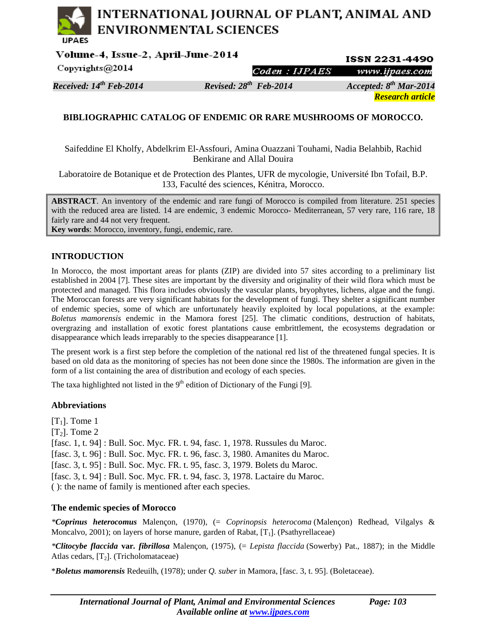# INTERNATIONAL JOURNAL OF PLANT, ANIMAL AND **ENVIRONMENTAL SCIENCES**

Volume-4, Issue-2, April-June-2014 **ISSN 2231-4490** Copyrights@2014 Coden : IJPAES www.ijpaes.com

*Received: 14th Feb-2014 Revised: 28th Feb-2014 Accepted: 8th Mar-2014* 

*Research article* 

## **BIBLIOGRAPHIC CATALOG OF ENDEMIC OR RARE MUSHROOMS OF MOROCCO.**

Saifeddine El Kholfy, Abdelkrim El-Assfouri, Amina Ouazzani Touhami, Nadia Belahbib, Rachid Benkirane and Allal Douira

Laboratoire de Botanique et de Protection des Plantes, UFR de mycologie, Université Ibn Tofail, B.P. 133, Faculté des sciences, Kénitra, Morocco.

**ABSTRACT**. An inventory of the endemic and rare fungi of Morocco is compiled from literature. 251 species with the reduced area are listed. 14 are endemic, 3 endemic Morocco- Mediterranean, 57 very rare, 116 rare, 18 fairly rare and 44 not very frequent.

**Key words**: Morocco, inventory, fungi, endemic, rare.

## **INTRODUCTION**

In Morocco, the most important areas for plants (ZIP) are divided into 57 sites according to a preliminary list established in 2004 [7]. These sites are important by the diversity and originality of their wild flora which must be protected and managed. This flora includes obviously the vascular plants, bryophytes, lichens, algae and the fungi. The Moroccan forests are very significant habitats for the development of fungi. They shelter a significant number of endemic species, some of which are unfortunately heavily exploited by local populations, at the example: *Boletus mamorensis* endemic in the Mamora forest [25]. The climatic conditions, destruction of habitats, overgrazing and installation of exotic forest plantations cause embrittlement, the ecosystems degradation or disappearance which leads irreparably to the species disappearance [1].

The present work is a first step before the completion of the national red list of the threatened fungal species. It is based on old data as the monitoring of species has not been done since the 1980s. The information are given in the form of a list containing the area of distribution and ecology of each species.

The taxa highlighted not listed in the  $9<sup>th</sup>$  edition of Dictionary of the Fungi [9].

## **Abbreviations**

 $[T_1]$ . Tome 1  $[T_2]$ . Tome 2 [fasc. 1, t. 94] : Bull. Soc. Myc. FR. t. 94, fasc. 1, 1978. Russules du Maroc. [fasc. 3, t. 96] : Bull. Soc. Myc. FR. t. 96, fasc. 3, 1980. Amanites du Maroc. [fasc. 3, t. 95] : Bull. Soc. Myc. FR. t. 95, fasc. 3, 1979. Bolets du Maroc. [fasc. 3, t. 94] : Bull. Soc. Myc. FR. t. 94, fasc. 3, 1978. Lactaire du Maroc. ( ): the name of family is mentioned after each species.

## **The endemic species of Morocco**

*\*Coprinus heterocomus* Malençon, (1970), (= *Coprinopsis heterocoma* (Malençon) Redhead, Vilgalys & Moncalvo, 2001); on layers of horse manure, garden of Rabat,  $[T_1]$ . (Psathyrellaceae)

*\*Clitocybe flaccida* **var***. fibrillosa* Malençon, (1975), (= *Lepista flaccida* (Sowerby) Pat., 1887); in the Middle Atlas cedars,  $[T_2]$ . (Tricholomataceae)

\**Boletus mamorensis* Redeuilh, (1978); under *Q. suber* in Mamora, [fasc. 3, t. 95]. (Boletaceae).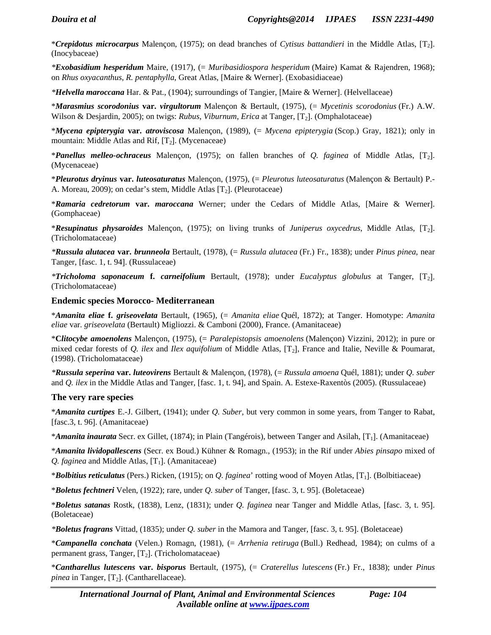\**Crepidotus microcarpus* Malençon, (1975); on dead branches of *Cytisus battandieri* in the Middle Atlas, [T2]. (Inocybaceae)

*\*Exobasidium hesperidum* Maire, (1917), (= *Muribasidiospora hesperidum* (Maire) Kamat & Rajendren, 1968); on *Rhus oxyacanthus*, *R. pentaphylla*, Great Atlas, [Maire & Werner]. (Exobasidiaceae)

*\*Helvella maroccana* Har. & Pat., (1904); surroundings of Tangier, [Maire & Werner]. (Helvellaceae)

\**Marasmius scorodonius* **var.** *virgultorum* Malençon & Bertault, (1975), (= *Mycetinis scorodonius* (Fr.) A.W. Wilson & Desjardin, 2005); on twigs: *Rubus, Viburnum, Erica* at Tanger, [T<sub>2</sub>]. (Omphalotaceae)

\**Mycena epipterygia* **var.** *atroviscosa* Malençon, (1989), (= *Mycena epipterygia* (Scop.) Gray, 1821); only in mountain: Middle Atlas and Rif,  $[T_2]$ . (Mycenaceae)

\**Panellus melleo-ochraceus* Malençon, (1975); on fallen branches of *Q. faginea* of Middle Atlas, [T2]. (Mycenaceae)

\**Pleurotus dryinus* **var.** *luteosaturatus* Malençon, (1975), (= *Pleurotus luteosaturatus* (Malençon & Bertault) P.- A. Moreau, 2009); on cedar's stem, Middle Atlas [T2]. (Pleurotaceae)

\**Ramaria cedretorum* **var.** *maroccana* Werner; under the Cedars of Middle Atlas, [Maire & Werner]. (Gomphaceae)

\**Resupinatus physaroides* Malençon, (1975); on living trunks of *Juniperus oxycedrus*, Middle Atlas, [T2]. (Tricholomataceae)

*\*Russula alutacea* **var.** *brunneola* Bertault, (1978), (= *Russula alutacea* (Fr.) Fr., 1838); under *Pinus pinea*, near Tanger, [fasc. 1, t. 94]. (Russulaceae)

*\*Tricholoma saponaceum* **f.** *carneifolium* Bertault, (1978); under *Eucalyptus globulus* at Tanger, [T2]. (Tricholomataceae)

#### **Endemic species Morocco- Mediterranean**

\**Amanita eliae* **f.** *griseovelata* Bertault, (1965), (= *Amanita eliae* Quél, 1872); at Tanger. Homotype: *Amanita eliae* var. *griseovelata* (Bertault) Migliozzi. & Camboni (2000), France. (Amanitaceae)

\***C***litocybe amoenolens* Malençon, (1975), (= *Paralepistopsis amoenolens* (Malençon) Vizzini, 2012); in pure or mixed cedar forests of *Q. ilex* and *Ilex aquifolium* of Middle Atlas, [T2], France and Italie, Neville & Poumarat, (1998). (Tricholomataceae)

*\*Russula seperina* **var.** *luteovirens* Bertault & Malençon, (1978), (= *Russula amoena* Quél, 1881); under *Q. suber* and *Q. ilex* in the Middle Atlas and Tanger, [fasc. 1, t. 94], and Spain. A. Estexe-Raxentòs (2005). (Russulaceae)

#### **The very rare species**

\**Amanita curtipes* E.-J. Gilbert, (1941); under *Q. Suber*, but very common in some years, from Tanger to Rabat, [fasc.3, t. 96]. (Amanitaceae)

\**Amanita inaurata* Secr. ex Gillet, (1874); in Plain (Tangérois), between Tanger and Asilah, [T1]. (Amanitaceae)

\**Amanita lividopallescens* (Secr. ex Boud.) Kühner & Romagn., (1953); in the Rif under *Abies pinsapo* mixed of *Q. faginea* and Middle Atlas,  $[T_1]$ . (Amanitaceae)

\**Bolbitius reticulatus* (Pers.) Ricken, (1915); on *Q. faginea*' rotting wood of Moyen Atlas, [T1]. (Bolbitiaceae)

\**Boletus fechtneri* Velen, (1922); rare, under *Q. suber* of Tanger, [fasc. 3, t. 95]. (Boletaceae)

\**Boletus satanas* Rostk, (1838), Lenz, (1831); under *Q. faginea* near Tanger and Middle Atlas, [fasc. 3, t. 95]. (Boletaceae)

*\*Boletus fragrans* Vittad, (1835); under *Q. suber* in the Mamora and Tanger, [fasc. 3, t. 95]. (Boletaceae)

\**Campanella conchata* (Velen.) Romagn, (1981), (= *Arrhenia retiruga* (Bull.) Redhead, 1984); on culms of a permanent grass, Tanger,  $[T_2]$ . (Tricholomataceae)

\**Cantharellus lutescens* **var.** *bisporus* Bertault, (1975), (= *Craterellus lutescens* (Fr.) Fr., 1838); under *Pinus pinea* in Tanger,  $[T_2]$ . (Cantharellaceae).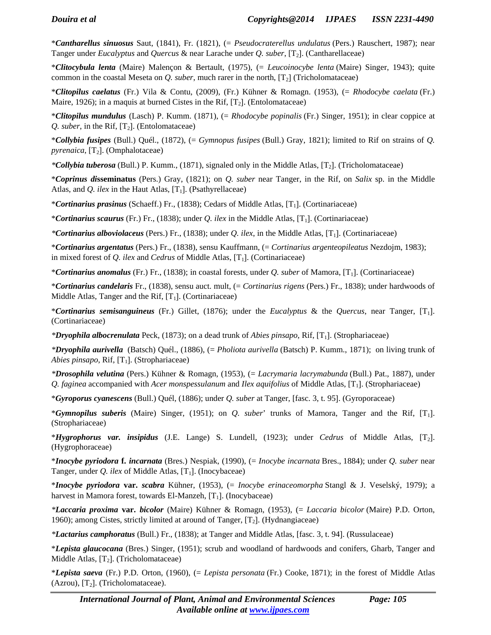\**Cantharellus sinuosus* Saut, (1841), Fr. (1821), (= *Pseudocraterellus undulatus* (Pers.) Rauschert, 1987); near Tanger under *Eucalyptus* and *Quercus* & near Larache under *Q. suber*, [T2]. (Cantharellaceae)

\**Clitocybula lenta* (Maire) Malençon & Bertault, (1975), (= *Leucoinocybe lenta* (Maire) Singer, 1943); quite common in the coastal Meseta on *Q. suber*, much rarer in the north, [T2] (Tricholomataceae)

\**Clitopilus caelatus* (Fr.) Vila & Contu, (2009), (Fr.) Kühner & Romagn. (1953), (= *Rhodocybe caelata* (Fr.) Maire, 1926); in a maquis at burned Cistes in the Rif,  $[T_2]$ . (Entolomataceae)

\**Clitopilus mundulus* (Lasch) P. Kumm. (1871), (= *Rhodocybe popinalis* (Fr.) Singer, 1951); in clear coppice at *Q. suber*, in the Rif,  $[T_2]$ . (Entolomataceae)

\**Collybia fusipes* (Bull.) Quél., (1872), (= *Gymnopus fusipes* (Bull.) Gray, 1821); limited to Rif on strains of *Q. pyrenaica*,  $[T_2]$ . (Omphalotaceae)

*\*Collybia tuberosa* (Bull.) P. Kumm., (1871), signaled only in the Middle Atlas, [T2]. (Tricholomataceae)

\**Coprinus di***sseminatus** (Pers.) Gray, (1821); on *Q. suber* near Tanger, in the Rif, on *Salix* sp. in the Middle Atlas, and *Q. ilex* in the Haut Atlas, [T<sub>1</sub>]. (Psathyrellaceae)

\**Cortinarius prasinus* (Schaeff.) Fr., (1838); Cedars of Middle Atlas, [T1]. (Cortinariaceae)

\**Cortinarius scaurus* (Fr.) Fr., (1838); under *Q. ilex* in the Middle Atlas, [T1]. (Cortinariaceae)

*\*Cortinarius alboviolaceus* (Pers.) Fr., (1838); under *Q. ilex*, in the Middle Atlas, [T1]. (Cortinariaceae)

\**Cortinarius argentatus* (Pers.) Fr., (1838), sensu Kauffmann, (= *Cortinarius argenteopileatus* Nezdojm, 1983); in mixed forest of *Q. ilex* and *Cedrus* of Middle Atlas, [T<sub>1</sub>]. (Cortinariaceae)

\**Cortinarius anomalus* (Fr.) Fr., (1838); in coastal forests, under *Q. suber* of Mamora, [T1]. (Cortinariaceae)

\**Cortinarius candelaris* Fr., (1838), sensu auct. mult, (= *Cortinarius rigens* (Pers.) Fr., 1838); under hardwoods of Middle Atlas, Tanger and the Rif,  $[T_1]$ . (Cortinariaceae)

\**Cortinarius semisanguineus* (Fr.) Gillet, (1876); under the *Eucalyptus* & the *Quercus*, near Tanger, [T1]. (Cortinariaceae)

*\*Dryophila albocrenulata* Peck, (1873); on a dead trunk of *Abies pinsapo*, Rif, [T1]. (Strophariaceae)

*\*Dryophila aurivella* (Batsch) Quél., (1886), (= *Pholiota aurivella* (Batsch) P. Kumm., 1871); on living trunk of *Abies pinsapo*, Rif, [T<sub>1</sub>]. (Strophariaceae)

*\*Drosophila velutina* (Pers.) Kühner & Romagn, (1953), (= *Lacrymaria lacrymabunda* (Bull.) Pat., 1887), under *Q. faginea* accompanied with *Acer monspessulanum* and *Ilex aquifolius* of Middle Atlas, [T1]. (Strophariaceae)

\**Gyroporus cyanescens* (Bull.) Quél, (1886); under *Q. suber* at Tanger, [fasc. 3, t. 95]. (Gyroporaceae)

\**Gymnopilus suberis* (Maire) Singer, (1951); on *Q. suber*' trunks of Mamora, Tanger and the Rif, [T1]. (Strophariaceae)

\**Hygrophorus var. insipidus* (J.E. Lange) S. Lundell, (1923); under *Cedrus* of Middle Atlas, [T2]. (Hygrophoraceae)

\**Inocybe pyriodora* **f.** *incarnata* (Bres.) Nespiak, (1990), (= *Inocybe incarnata* Bres., 1884); under *Q. suber* near Tanger, under *Q. ilex* of Middle Atlas, [T<sub>1</sub>]. (Inocybaceae)

\**Inocybe pyriodora* **var.** *scabra* Kühner, (1953), (= *Inocybe erinaceomorpha* Stangl & J. Veselský, 1979); a harvest in Mamora forest, towards El-Manzeh,  $[T_1]$ . (Inocybaceae)

*\*Laccaria proxima* **var.** *bicolor* (Maire) Kühner & Romagn, (1953), (= *Laccaria bicolor* (Maire) P.D. Orton, 1960); among Cistes, strictly limited at around of Tanger,  $[T_2]$ . (Hydnangiaceae)

*\*Lactarius camphoratus* (Bull.) Fr., (1838); at Tanger and Middle Atlas, [fasc. 3, t. 94]. (Russulaceae)

\**Lepista glaucocana* (Bres.) Singer, (1951); scrub and woodland of hardwoods and conifers, Gharb, Tanger and Middle Atlas,  $[T_2]$ . (Tricholomataceae)

\**Lepista saeva* (Fr.) P.D. Orton, (1960), (= *Lepista personata* (Fr.) Cooke, 1871); in the forest of Middle Atlas (Azrou),  $[T_2]$ . (Tricholomataceae).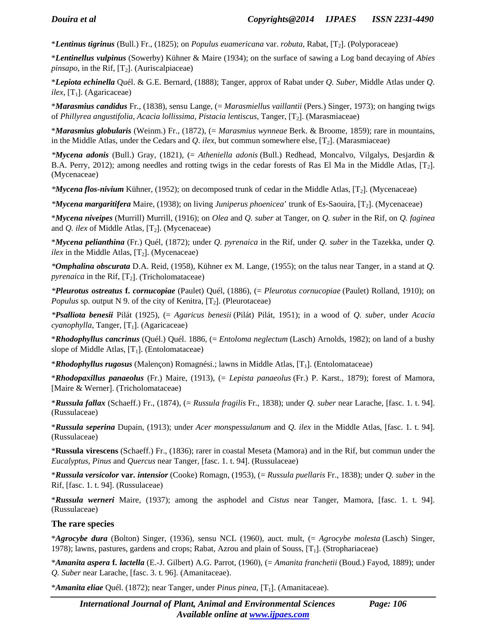\**Lentinus tigrinus* (Bull.) Fr., (1825); on *Populus euamericana* var. *robuta*, Rabat, [T2]. (Polyporaceae)

\**Lentinellus vulpinus* (Sowerby) Kühner & Maire (1934); on the surface of sawing a Log band decaying of *Abies pinsapo*, in the Rif,  $[T_2]$ . (Auriscalpiaceae)

\**Lepiota echinella* Quél. & G.E. Bernard, (1888); Tanger, approx of Rabat under *Q. Suber*, Middle Atlas under *Q*.  $ilex$ , [T<sub>1</sub>]. (Agaricaceae)

\**Marasmius candidus* Fr., (1838), sensu Lange, (= *Marasmiellus vaillantii* (Pers.) Singer, 1973); on hanging twigs of *Phillyrea angustifolia*, *Acacia lollissima*, *Pistacia lentiscus*, Tanger, [T2]. (Marasmiaceae)

\**Marasmius globularis* (Weinm.) Fr., (1872), (= *Marasmius wynneae* Berk. & Broome, 1859); rare in mountains, in the Middle Atlas, under the Cedars and *Q*. *ilex*, but commun somewhere else, [T2]. (Marasmiaceae)

*\*Mycena adonis* (Bull.) Gray, (1821), (= *Atheniella adonis* (Bull.) Redhead, Moncalvo, Vilgalys, Desjardin & B.A. Perry, 2012); among needles and rotting twigs in the cedar forests of Ras El Ma in the Middle Atlas, [T<sub>2</sub>]. (Mycenaceae)

*\*Mycena flos-nivium* Kühner, (1952); on decomposed trunk of cedar in the Middle Atlas, [T2]. (Mycenaceae)

*\*Mycena margaritifera* Maire, (1938); on living *Juniperus phoenicea*' trunk of Es-Saouira, [T2]. (Mycenaceae)

\**Mycena niveipes* (Murrill) Murrill, (1916); on *Olea* and *Q. suber* at Tanger, on *Q. suber* in the Rif, on *Q. faginea* and  $Q$ . *ilex* of Middle Atlas,  $[T_2]$ . (Mycenaceae)

\**Mycena pelianthina* (Fr.) Quél, (1872); under *Q. pyrenaica* in the Rif, under *Q. suber* in the Tazekka, under *Q. ilex* in the Middle Atlas,  $[T_2]$ . (Mycenaceae)

*\*Omphalina obscurata* D.A. Reid, (1958), Kühner ex M. Lange, (1955); on the talus near Tanger, in a stand at *Q. pyrenaica* in the Rif,  $[T_2]$ . (Tricholomataceae)

*\*Pleurotus ostreatus* **f.** *cornucopiae* (Paulet) Quél, (1886), (= *Pleurotus cornucopiae* (Paulet) Rolland, 1910); on *Populus* sp. output N 9. of the city of Kenitra,  $[T_2]$ . (Pleurotaceae)

*\*Psalliota benesii* Pilát (1925), (= *Agaricus benesii* (Pilát) Pilát, 1951); in a wood of *Q. suber*, under *Acacia cyanophylla*, Tanger, [T<sub>1</sub>]. (Agaricaceae)

\**Rhodophyllus cancrinus* (Quél.) Quél. 1886, (= *Entoloma neglectum* (Lasch) Arnolds, 1982); on land of a bushy slope of Middle Atlas,  $[T_1]$ . (Entolomataceae)

\**Rhodophyllus rugosus* (Malençon) Romagnési.; lawns in Middle Atlas, [T1]. (Entolomataceae)

\**Rhodopaxillus panaeolus* (Fr.) Maire, (1913), (= *Lepista panaeolus* (Fr.) P. Karst., 1879); forest of Mamora, [Maire & Werner]. (Tricholomataceae)

\**Russula fallax* (Schaeff.) Fr., (1874), (= *Russula fragilis* Fr., 1838); under *Q. suber* near Larache, [fasc. 1. t. 94]. (Russulaceae)

\**Russula seperina* Dupain, (1913); under *Acer monspessulanum* and *Q. ilex* in the Middle Atlas, [fasc. 1. t. 94]. (Russulaceae)

\***Russula virescens** (Schaeff.) Fr., (1836); rarer in coastal Meseta (Mamora) and in the Rif, but commun under the *Eucalyptus*, *Pinus* and *Quercus* near Tanger, [fasc. 1. t. 94]. (Russulaceae)

\**Russula versicolor* **var.** *intensior* (Cooke) Romagn, (1953), (= *Russula puellaris* Fr., 1838); under *Q. suber* in the Rif, [fasc. 1. t. 94]. (Russulaceae)

\**Russula werneri* Maire, (1937); among the asphodel and *Cistus* near Tanger, Mamora, [fasc. 1. t. 94]. (Russulaceae)

#### **The rare species**

\**Agrocybe dura* (Bolton) Singer, (1936), sensu NCL (1960), auct. mult, (= *Agrocybe molesta* (Lasch) Singer, 1978); lawns, pastures, gardens and crops; Rabat, Azrou and plain of Souss, [T1]. (Strophariaceae)

\**Amanita aspera* **f.** *lactella* (E.-J. Gilbert) A.G. Parrot, (1960), (= *Amanita franchetii* (Boud.) Fayod, 1889); under *Q. Suber* near Larache, [fasc. 3. t. 96]. (Amanitaceae).

\**Amanita eliae* Quél. (1872); near Tanger, under *Pinus pinea*, [T1]. (Amanitaceae).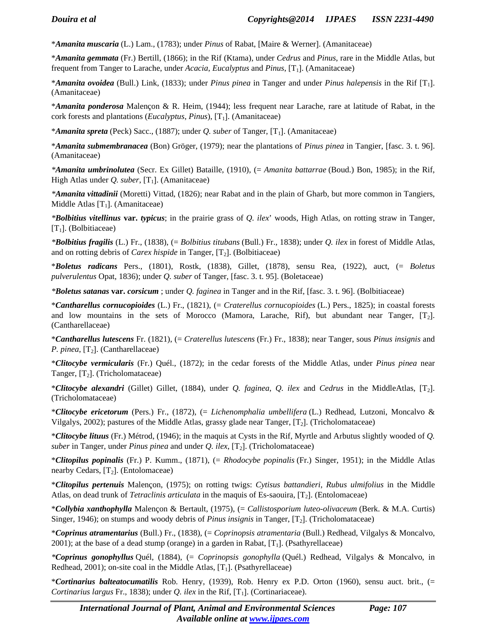\**Amanita muscaria* (L.) Lam., (1783); under *Pinus* of Rabat, [Maire & Werner]. (Amanitaceae)

\**Amanita gemmata* (Fr.) Bertill, (1866); in the Rif (Ktama), under *Cedrus* and *Pinus*, rare in the Middle Atlas, but frequent from Tanger to Larache, under *Acacia*, *Eucalyptus* and *Pinus*, [T1]. (Amanitaceae)

\**Amanita ovoidea* (Bull.) Link, (1833); under *Pinus pinea* in Tanger and under *Pinus halepensis* in the Rif [T1]. (Amanitaceae)

\**Amanita ponderosa* Malençon & R. Heim, (1944); less frequent near Larache, rare at latitude of Rabat, in the cork forests and plantations (*Eucalyptus*, *Pinus*), [T1]. (Amanitaceae)

\**Amanita spreta* (Peck) Sacc., (1887); under *Q. suber* of Tanger, [T1]. (Amanitaceae)

\**Amanita submembranacea* (Bon) Gröger, (1979); near the plantations of *Pinus pinea* in Tangier, [fasc. 3. t. 96]. (Amanitaceae)

*\*Amanita umbrinolutea* (Secr. Ex Gillet) Bataille, (1910), (= *Amanita battarrae* (Boud.) Bon, 1985); in the Rif, High Atlas under  $Q$ . *suber*, [T<sub>1</sub>]. (Amanitaceae)

*\*Amanita vittadinii* (Moretti) Vittad, (1826); near Rabat and in the plain of Gharb, but more common in Tangiers, Middle Atlas  $[T_1]$ . (Amanitaceae)

*\*Bolbitius vitellinus* **var.** *typicus*; in the prairie grass of *Q. ilex*' woods, High Atlas, on rotting straw in Tanger,  $[T_1]$ . (Bolbitiaceae)

*\*Bolbitius fragilis* (L.) Fr., (1838), (= *Bolbitius titubans* (Bull.) Fr., 1838); under *Q. ilex* in forest of Middle Atlas, and on rotting debris of *Carex hispide* in Tanger,  $[T_2]$ . (Bolbitiaceae)

\**Boletus radicans* Pers., (1801), Rostk, (1838), Gillet, (1878), sensu Rea, (1922), auct, (= *Boletus pulverulentus* Opat, 1836); under *Q. suber* of Tanger, [fasc. 3. t. 95]. (Boletaceae)

*\*Boletus satanas* **var.** *corsicum* ; under *Q. faginea* in Tanger and in the Rif, [fasc. 3. t. 96]. (Bolbitiaceae)

\**Cantharellus cornucopioides* (L.) Fr., (1821), (= *Craterellus cornucopioides* (L.) Pers., 1825); in coastal forests and low mountains in the sets of Morocco (Mamora, Larache, Rif), but abundant near Tanger,  $[T_2]$ . (Cantharellaceae)

\**Cantharellus lutescens* Fr. (1821), (= *Craterellus lutescens* (Fr.) Fr., 1838); near Tanger, sous *Pinus insignis* and *P. pinea*, [T<sub>2</sub>]. (Cantharellaceae)

\**Clitocybe vermicularis* (Fr.) Quél., (1872); in the cedar forests of the Middle Atlas, under *Pinus pinea* near Tanger,  $[T_2]$ . (Tricholomataceae)

\**Clitocybe alexandri* (Gillet) Gillet, (1884), under *Q. faginea*, *Q. ilex* and *Cedrus* in the MiddleAtlas, [T2]. (Tricholomataceae)

\**Clitocybe ericetorum* (Pers.) Fr., (1872), (= *Lichenomphalia umbellifera* (L.) Redhead, Lutzoni, Moncalvo & Vilgalys, 2002); pastures of the Middle Atlas, grassy glade near Tanger, [T2]. (Tricholomataceae)

\**Clitocybe lituus* (Fr.) Métrod, (1946); in the maquis at Cysts in the Rif, Myrtle and Arbutus slightly wooded of *Q. suber* in Tanger, under *Pinus pinea* and under  $Q$ . ilex,  $[T_2]$ . (Tricholomataceae)

\**Clitopilus popinalis* (Fr.) P. Kumm., (1871), (= *Rhodocybe popinalis* (Fr.) Singer, 1951); in the Middle Atlas nearby Cedars,  $[T_2]$ . (Entolomaceae)

\**Clitopilus pertenuis* Malençon, (1975); on rotting twigs: *Cytisus battandieri*, *Rubus ulmifolius* in the Middle Atlas, on dead trunk of *Tetraclinis articulata* in the maquis of Es-saouira, [T2]. (Entolomaceae)

\**Collybia xanthophylla* Malençon & Bertault, (1975), (= *Callistosporium luteo-olivaceum* (Berk. & M.A. Curtis) Singer, 1946); on stumps and woody debris of *Pinus insignis* in Tanger, [T2]. (Tricholomataceae)

\**Coprinus atramentarius* (Bull.) Fr., (1838), (= *Coprinopsis atramentaria* (Bull.) Redhead, Vilgalys & Moncalvo,  $2001$ ); at the base of a dead stump (orange) in a garden in Rabat,  $[T_1]$ . (Psathyrellaceae)

*\*Coprinus gonophyllus* Quél, (1884), (= *Coprinopsis gonophylla* (Quél.) Redhead, Vilgalys & Moncalvo, in Redhead, 2001); on-site coal in the Middle Atlas,  $[T_1]$ . (Psathyrellaceae)

\**Cortinarius balteatocumatilis* Rob. Henry, (1939), Rob. Henry ex P.D. Orton (1960), sensu auct. brit., (= *Cortinarius largus* Fr., 1838); under *Q. ilex* in the Rif,  $[T_1]$ . (Cortinariaceae).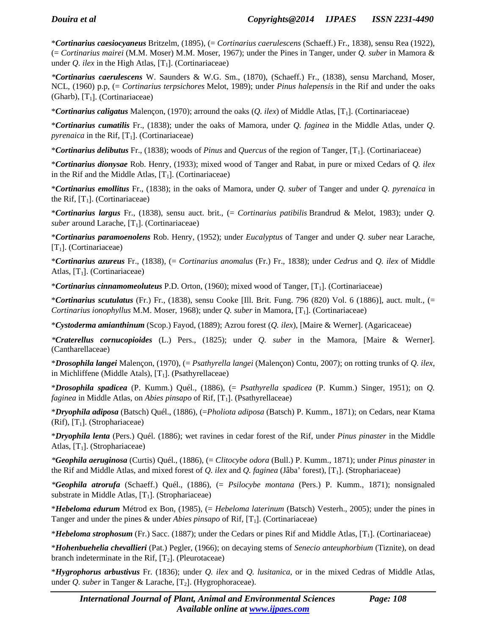\**Cortinarius caesiocyaneus* Britzelm, (1895), (= *Cortinarius caerulescens* (Schaeff.) Fr., 1838), sensu Rea (1922), (= *Cortinarius mairei* (M.M. Moser) M.M. Moser, 1967); under the Pines in Tanger, under *Q. suber* in Mamora & under *Q. ilex* in the High Atlas,  $[T_1]$ . (Cortinariaceae)

*\*Cortinarius caerulescens* W. Saunders & W.G. Sm., (1870), (Schaeff.) Fr., (1838), sensu Marchand, Moser, NCL, (1960) p.p, (= *Cortinarius terpsichores* Melot, 1989); under *Pinus halepensis* in the Rif and under the oaks (Gharb),  $[T_1]$ . (Cortinariaceae)

\**Cortinarius caligatus* Malençon, (1970); arround the oaks (*Q. ilex*) of Middle Atlas, [T1]. (Cortinariaceae)

\**Cortinarius cumatilis* Fr., (1838); under the oaks of Mamora, under *Q. faginea* in the Middle Atlas, under *Q*. *pyrenaica* in the Rif,  $[T_1]$ . (Cortinariaceae)

\**Cortinarius delibutus* Fr., (1838); woods of *Pinus* and *Quercus* of the region of Tanger, [T1]. (Cortinariaceae)

\**Cortinarius dionysae* Rob. Henry, (1933); mixed wood of Tanger and Rabat, in pure or mixed Cedars of *Q. ilex* in the Rif and the Middle Atlas,  $[T_1]$ . (Cortinariaceae)

\**Cortinarius emollitus* Fr., (1838); in the oaks of Mamora, under *Q. suber* of Tanger and under *Q. pyrenaica* in the Rif,  $[T_1]$ . (Cortinariaceae)

\**Cortinarius largus* Fr., (1838), sensu auct. brit., (= *Cortinarius patibilis* Brandrud & Melot, 1983); under *Q. suber* around Larache, [T<sub>1</sub>]. (Cortinariaceae)

\**Cortinarius paramoenolens* Rob. Henry, (1952); under *Eucalyptus* of Tanger and under *Q. suber* near Larache, [ $T_1$ ]. (Cortinariaceae)

\**Cortinarius azureus* Fr., (1838), (= *Cortinarius anomalus* (Fr.) Fr., 1838); under *Cedrus* and *Q. ilex* of Middle Atlas,  $[T_1]$ . (Cortinariaceae)

\**Cortinarius cinnamomeoluteus* P.D. Orton, (1960); mixed wood of Tanger, [T1]. (Cortinariaceae)

\**Cortinarius scutulatus* (Fr.) Fr., (1838), sensu Cooke [Ill. Brit. Fung. 796 (820) Vol. 6 (1886)], auct. mult., (= *Cortinarius ionophyllus* M.M. Moser, 1968); under *Q. suber* in Mamora, [T1]. (Cortinariaceae)

\**Cystoderma amianthinum* (Scop.) Fayod, (1889); Azrou forest (*Q. ilex*), [Maire & Werner]. (Agaricaceae)

*\*Craterellus cornucopioides* (L.) Pers., (1825); under *Q. suber* in the Mamora, [Maire & Werner]. (Cantharellaceae)

\**Drosophila langei* Malençon, (1970), (= *Psathyrella langei* (Malençon) Contu, 2007); on rotting trunks of *Q. ilex*, in Michliffene (Middle Atals),  $[T_1]$ . (Psathyrellaceae)

\**Drosophila spadicea* (P. Kumm.) Quél., (1886), (= *Psathyrella spadicea* (P. Kumm.) Singer, 1951); on *Q. faginea* in Middle Atlas, on *Abies pinsapo* of Rif, [T<sub>1</sub>]. (Psathyrellaceae)

\**Dryophila adiposa* (Batsch) Quél., (1886), (=*Pholiota adiposa* (Batsch) P. Kumm., 1871); on Cedars, near Ktama (Rif),  $[T_1]$ . (Strophariaceae)

\**Dryophila lenta* (Pers.) Quél. (1886); wet ravines in cedar forest of the Rif, under *Pinus pinaster* in the Middle Atlas,  $[T_1]$ . (Strophariaceae)

*\*Geophila aeruginosa* (Curtis) Quél., (1886), (= *Clitocybe odora* (Bull.) P. Kumm., 1871); under *Pinus pinaster* in the Rif and Middle Atlas, and mixed forest of *Q. ilex* and *Q. faginea* (Jâba' forest), [T1]. (Strophariaceae)

*\*Geophila atrorufa* (Schaeff.) Quél., (1886), (= *Psilocybe montana* (Pers.) P. Kumm., 1871); nonsignaled substrate in Middle Atlas,  $[T_1]$ . (Strophariaceae)

\**Hebeloma edurum* Métrod ex Bon, (1985), (= *Hebeloma laterinum* (Batsch) Vesterh., 2005); under the pines in Tanger and under the pines  $\&$  under *Abies pinsapo* of Rif, [T<sub>1</sub>]. (Cortinariaceae)

\**Hebeloma strophosum* (Fr.) Sacc. (1887); under the Cedars or pines Rif and Middle Atlas, [T1]. (Cortinariaceae)

\**Hohenbuehelia chevallieri* (Pat.) Pegler, (1966); on decaying stems of *Senecio anteuphorbium* (Tiznite), on dead branch indeterminate in the Rif,  $[T_2]$ . (Pleurotaceae)

\**Hygrophorus arbustivus* Fr. (1836); under *Q. ilex* and *Q. lusitanica*, or in the mixed Cedras of Middle Atlas, under *Q. suber* in Tanger & Larache, [T<sub>2</sub>]. (Hygrophoraceae).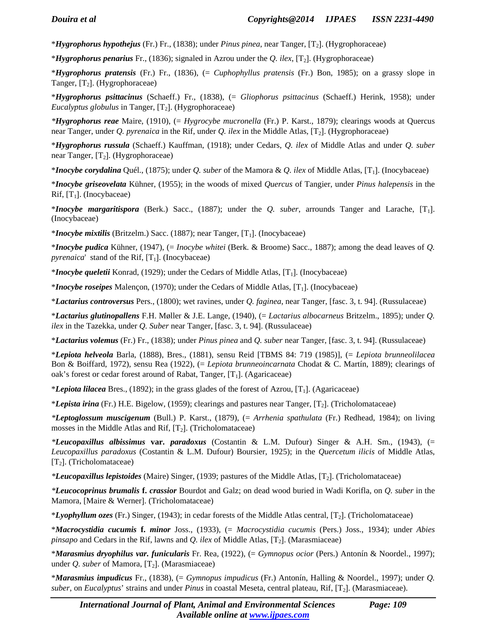\**Hygrophorus hypothejus* (Fr.) Fr., (1838); under *Pinus pinea*, near Tanger, [T2]. (Hygrophoraceae)

\**Hygrophorus penarius* Fr., (1836); signaled in Azrou under the *Q. ilex*, [T2]. (Hygrophoraceae)

\**Hygrophorus pratensis* (Fr.) Fr., (1836), (= *Cuphophyllus pratensis* (Fr.) Bon, 1985); on a grassy slope in Tanger,  $[T_2]$ . (Hygrophoraceae)

\**Hygrophorus psittacinus* (Schaeff.) Fr., (1838), (= *Gliophorus psittacinus* (Schaeff.) Herink, 1958); under *Eucalyptus globulus* in Tanger,  $[T_2]$ . (Hygrophoraceae)

*\*Hygrophorus reae* Maire, (1910), (= *Hygrocybe mucronella* (Fr.) P. Karst., 1879); clearings woods at Quercus near Tanger, under *Q. pyrenaica* in the Rif, under *Q. ilex* in the Middle Atlas, [T2]. (Hygrophoraceae)

\**Hygrophorus russula* (Schaeff.) Kauffman, (1918); under Cedars, *Q. ilex* of Middle Atlas and under *Q. suber* near Tanger,  $[T_2]$ . (Hygrophoraceae)

\**Inocybe corydalina* Quél., (1875); under *Q. suber* of the Mamora & *Q. ilex* of Middle Atlas, [T1]. (Inocybaceae)

\**Inocybe griseovelata* Kühner, (1955); in the woods of mixed *Quercus* of Tangier, under *Pinus halepensis* in the Rif,  $[T_1]$ . (Inocybaceae)

\**Inocybe margaritispora* (Berk.) Sacc., (1887); under the *Q. suber*, arrounds Tanger and Larache, [T1]. (Inocybaceae)

\**Inocybe mixtilis* (Britzelm.) Sacc. (1887); near Tanger, [T1]. (Inocybaceae)

\**Inocybe pudica* Kühner, (1947), (= *Inocybe whitei* (Berk. & Broome) Sacc., 1887); among the dead leaves of *Q. pyrenaica*' stand of the Rif,  $[T_1]$ . (Inocybaceae)

\**Inocybe queletii* Konrad, (1929); under the Cedars of Middle Atlas, [T1]. (Inocybaceae)

\**Inocybe roseipes* Malençon, (1970); under the Cedars of Middle Atlas, [T1]. (Inocybaceae)

\**Lactarius controversus* Pers., (1800); wet ravines, under *Q. faginea*, near Tanger, [fasc. 3, t. 94]. (Russulaceae)

\**Lactarius glutinopallens* F.H. Møller & J.E. Lange, (1940), (= *Lactarius albocarneus* Britzelm., 1895); under *Q. ilex* in the Tazekka, under *Q. Suber* near Tanger, [fasc. 3, t. 94]. (Russulaceae)

\**Lactarius volemus* (Fr.) Fr., (1838); under *Pinus pinea* and *Q. suber* near Tanger, [fasc. 3, t. 94]. (Russulaceae)

\**Lepiota helveola* Barla, (1888), Bres., (1881), sensu Reid [TBMS 84: 719 (1985)], (= *Lepiota brunneolilacea* Bon & Boiffard, 1972), sensu Rea (1922), (= *Lepiota brunneoincarnata* Chodat & C. Martín, 1889); clearings of oak's forest or cedar forest around of Rabat, Tanger,  $[T_1]$ . (Agaricaceae)

\**Lepiota lilacea* Bres., (1892); in the grass glades of the forest of Azrou, [T<sub>1</sub>]. (Agaricaceae)

\**Lepista irina* (Fr.) H.E. Bigelow, (1959); clearings and pastures near Tanger, [T2]. (Tricholomataceae)

*\*Leptoglossum muscigenum* (Bull.) P. Karst., (1879), (= *Arrhenia spathulata* (Fr.) Redhead, 1984); on living mosses in the Middle Atlas and Rif,  $[T_2]$ . (Tricholomataceae)

*\*Leucopaxillus albissimus* **var.** *paradoxus* (Costantin & L.M. Dufour) Singer & A.H. Sm., (1943), (= *Leucopaxillus paradoxus* (Costantin & L.M. Dufour) Boursier, 1925); in the *Quercetum ilicis* of Middle Atlas, [T<sub>2</sub>]. (Tricholomataceae)

*\*Leucopaxillus lepistoides* (Maire) Singer, (1939; pastures of the Middle Atlas, [T2]. (Tricholomataceae)

*\*Leucocoprinus brumalis* **f.** *crassior* Bourdot and Galz; on dead wood buried in Wadi Korifla, on *Q. suber* in the Mamora, [Maire & Werner]. (Tricholomataceae)

\**Lyophyllum ozes* (Fr.) Singer, (1943); in cedar forests of the Middle Atlas central, [T2]. (Tricholomataceae)

\**Macrocystidia cucumis* **f.** *minor* Joss., (1933), (= *Macrocystidia cucumis* (Pers.) Joss., 1934); under *Abies pinsapo* and Cedars in the Rif, lawns and *Q. ilex* of Middle Atlas, [T<sub>2</sub>]. (Marasmiaceae)

\**Marasmius dryophilus var. funicularis* Fr. Rea, (1922), (= *Gymnopus ocior* (Pers.) Antonín & Noordel., 1997); under  $Q$ . *suber* of Mamora,  $[T_2]$ . (Marasmiaceae)

\**Marasmius impudicus* Fr., (1838), (= *Gymnopus impudicus* (Fr.) Antonín, Halling & Noordel., 1997); under *Q. suber*, on *Eucalyptus*' strains and under *Pinus* in coastal Meseta, central plateau, Rif, [T2]. (Marasmiaceae).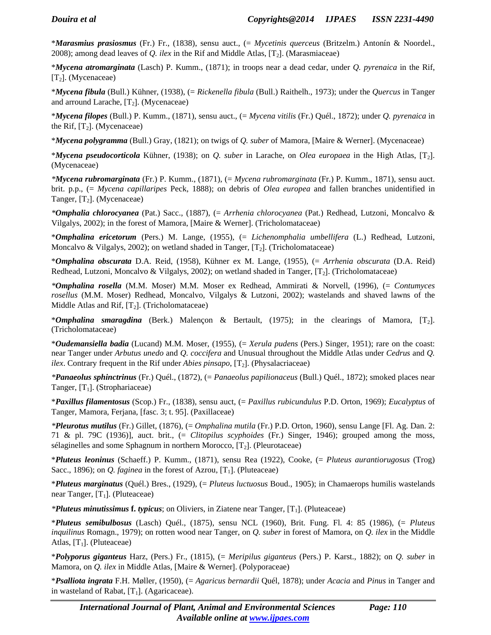\**Marasmius prasiosmus* (Fr.) Fr., (1838), sensu auct., (= *Mycetinis querceus* (Britzelm.) Antonín & Noordel., 2008); among dead leaves of *Q. ilex* in the Rif and Middle Atlas,  $[T_2]$ . (Marasmiaceae)

\**Mycena atromarginata* (Lasch) P. Kumm., (1871); in troops near a dead cedar, under *Q. pyrenaica* in the Rif,  $[T_2]$ . (Mycenaceae)

\**Mycena fibula* (Bull.) Kühner, (1938), (= *Rickenella fibula* (Bull.) Raithelh., 1973); under the *Quercus* in Tanger and arround Larache,  $[T_2]$ . (Mycenaceae)

\**Mycena filopes* (Bull.) P. Kumm., (1871), sensu auct., (= *Mycena vitilis* (Fr.) Quél., 1872); under *Q. pyrenaica* in the Rif,  $[T_2]$ . (Mycenaceae)

\**Mycena polygramma* (Bull.) Gray, (1821); on twigs of *Q. suber* of Mamora, [Maire & Werner]. (Mycenaceae)

\**Mycena pseudocorticola* Kühner, (1938); on *Q. suber* in Larache, on *Olea europaea* in the High Atlas, [T2]. (Mycenaceae)

*\*Mycena rubromarginata* (Fr.) P. Kumm., (1871), (= *Mycena rubromarginata* (Fr.) P. Kumm., 1871), sensu auct. brit. p.p., (= *Mycena capillaripes* Peck, 1888); on debris of *Olea europea* and fallen branches unidentified in Tanger,  $[T_2]$ . (Mycenaceae)

*\*Omphalia chlorocyanea* (Pat.) Sacc., (1887), (= *Arrhenia chlorocyanea* (Pat.) Redhead, Lutzoni, Moncalvo & Vilgalys, 2002); in the forest of Mamora, [Maire & Werner]. (Tricholomataceae)

\**Omphalina ericetorum* (Pers.) M. Lange, (1955), (= *Lichenomphalia umbellifera* (L.) Redhead, Lutzoni, Moncalvo & Vilgalys, 2002); on wetland shaded in Tanger,  $[T_2]$ . (Tricholomataceae)

\**Omphalina obscurata* D.A. Reid, (1958), Kühner ex M. Lange, (1955), (= *Arrhenia obscurata* (D.A. Reid) Redhead, Lutzoni, Moncalvo & Vilgalys, 2002); on wetland shaded in Tanger,  $[T_2]$ . (Tricholomataceae)

*\*Omphalina rosella* (M.M. Moser) M.M. Moser ex Redhead, Ammirati & Norvell, (1996), (= *Contumyces rosellus* (M.M. Moser) Redhead, Moncalvo, Vilgalys & Lutzoni, 2002); wastelands and shaved lawns of the Middle Atlas and Rif,  $[T_2]$ . (Tricholomataceae)

\**Omphalina smaragdina* (Berk.) Malençon & Bertault, (1975); in the clearings of Mamora, [T2]. (Tricholomataceae)

\**Oudemansiella badia* (Lucand) M.M. Moser, (1955), (= *Xerula pudens* (Pers.) Singer, 1951); rare on the coast: near Tanger under *Arbutus unedo* and *Q. coccifera* and Unusual throughout the Middle Atlas under *Cedrus* and *Q. ilex*. Contrary frequent in the Rif under *Abies pinsapo*, [T<sub>2</sub>]. (Physalacriaceae)

*\*Panaeolus sphinctrinus* (Fr.) Quél., (1872), (= *Panaeolus papilionaceus* (Bull.) Quél., 1872); smoked places near Tanger,  $[T_1]$ . (Strophariaceae)

\**Paxillus filamentosus* (Scop.) Fr., (1838), sensu auct, (= *Paxillus rubicundulus* P.D. Orton, 1969); *Eucalyptus* of Tanger, Mamora, Ferjana, [fasc. 3; t. 95]. (Paxillaceae)

*\*Pleurotus mutilus* (Fr.) Gillet, (1876), (= *Omphalina mutila* (Fr.) P.D. Orton, 1960), sensu Lange [Fl. Ag. Dan. 2: 71 & pl. 79C (1936)], auct. brit., (= *Clitopilus scyphoides* (Fr.) Singer, 1946); grouped among the moss, sélaginelles and some Sphagnum in northern Morocco,  $[T_2]$ . (Pleurotaceae)

\**Pluteus leoninus* (Schaeff.) P. Kumm., (1871), sensu Rea (1922), Cooke, (= *Pluteus aurantiorugosus* (Trog) Sacc., 1896); on *Q. faginea* in the forest of Azrou, [T<sub>1</sub>]. (Pluteaceae)

\**Pluteus marginatus* (Quél.) Bres., (1929), (= *Pluteus luctuosus* Boud., 1905); in Chamaerops humilis wastelands near Tanger,  $[T_1]$ . (Pluteaceae)

*\*Pluteus minutissimus* **f.** *typicus*; on Oliviers, in Ziatene near Tanger, [T1]. (Pluteaceae)

\**Pluteus semibulbosus* (Lasch) Quél., (1875), sensu NCL (1960), Brit. Fung. Fl. 4: 85 (1986), (= *Pluteus inquilinus* Romagn., 1979); on rotten wood near Tanger, on *Q. suber* in forest of Mamora, on *Q. ilex* in the Middle Atlas,  $[T_1]$ . (Pluteaceae)

\**Polyporus giganteus* Harz, (Pers.) Fr., (1815), (= *Meripilus giganteus* (Pers.) P. Karst., 1882); on *Q. suber* in Mamora, on *Q. ilex* in Middle Atlas, [Maire & Werner]. (Polyporaceae)

\**Psalliota ingrata* F.H. Møller, (1950), (= *Agaricus bernardii* Quél, 1878); under *Acacia* and *Pinus* in Tanger and in wasteland of Rabat,  $[T_1]$ . (Agaricaceae).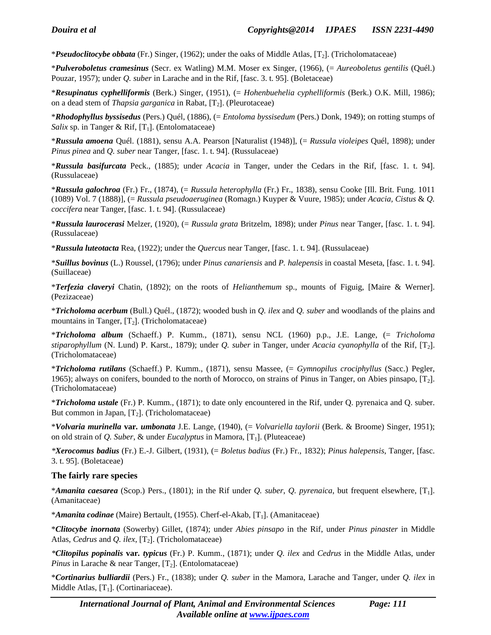\**Pseudoclitocybe obbata* (Fr.) Singer, (1962); under the oaks of Middle Atlas, [T2]. (Tricholomataceae)

\**Pulveroboletus cramesinus* (Secr. ex Watling) M.M. Moser ex Singer, (1966), (= *Aureoboletus gentilis* (Quél.) Pouzar, 1957); under *Q. suber* in Larache and in the Rif, [fasc. 3. t. 95]. (Boletaceae)

\**Resupinatus cyphelliformis* (Berk.) Singer, (1951), (= *Hohenbuehelia cyphelliformis* (Berk.) O.K. Mill, 1986); on a dead stem of *Thapsia garganica* in Rabat, [T<sub>2</sub>]. (Pleurotaceae)

\**Rhodophyllus byssisedus* (Pers.) Quél, (1886), (= *Entoloma byssisedum* (Pers.) Donk, 1949); on rotting stumps of *Salix* sp. in Tanger & Rif,  $[T_1]$ . (Entolomataceae)

\**Russula amoena* Quél. (1881), sensu A.A. Pearson [Naturalist (1948)], (= *Russula violeipes* Quél, 1898); under *Pinus pinea* and *Q. suber* near Tanger, [fasc. 1. t. 94]. (Russulaceae)

\**Russula basifurcata* Peck., (1885); under *Acacia* in Tanger, under the Cedars in the Rif, [fasc. 1. t. 94]. (Russulaceae)

\**Russula galochroa* (Fr.) Fr., (1874), (= *Russula heterophylla* (Fr.) Fr., 1838), sensu Cooke [Ill. Brit. Fung. 1011 (1089) Vol. 7 (1888)], (= *Russula pseudoaeruginea* (Romagn.) Kuyper & Vuure, 1985); under *Acacia, Cistus* & *Q. coccifera* near Tanger, [fasc. 1. t. 94]. (Russulaceae)

\**Russula laurocerasi* Melzer, (1920), (= *Russula grata* Britzelm, 1898); under *Pinus* near Tanger, [fasc. 1. t. 94]. (Russulaceae)

\**Russula luteotacta* Rea, (1922); under the *Quercus* near Tanger, [fasc. 1. t. 94]. (Russulaceae)

\**Suillus bovinus* (L.) Roussel, (1796); under *Pinus canariensis* and *P. halepensis* in coastal Meseta, [fasc. 1. t. 94]. (Suillaceae)

\**Terfezia claveryi* Chatin, (1892); on the roots of *Helianthemum* sp., mounts of Figuig, [Maire & Werner]. (Pezizaceae)

\**Tricholoma acerbum* (Bull.) Quél., (1872); wooded bush in *Q. ilex* and *Q. suber* and woodlands of the plains and mountains in Tanger,  $[T_2]$ . (Tricholomataceae)

\**Tricholoma album* (Schaeff.) P. Kumm., (1871), sensu NCL (1960) p.p., J.E. Lange, (= *Tricholoma stiparophyllum* (N. Lund) P. Karst., 1879); under *Q. suber* in Tanger, under *Acacia cyanophylla* of the Rif, [T2]. (Tricholomataceae)

\**Tricholoma rutilans* (Schaeff.) P. Kumm., (1871), sensu Massee, (= *Gymnopilus crociphyllus* (Sacc.) Pegler, 1965); always on conifers, bounded to the north of Morocco, on strains of Pinus in Tanger, on Abies pinsapo, [T2]. (Tricholomataceae)

\**Tricholoma ustale* (Fr.) P. Kumm., (1871); to date only encountered in the Rif, under Q. pyrenaica and Q. suber. But common in Japan,  $[T_2]$ . (Tricholomataceae)

\**Volvaria murinella* **var***. umbonata* J.E. Lange, (1940), (= *Volvariella taylorii* (Berk. & Broome) Singer, 1951); on old strain of *Q. Suber*, & under *Eucalyptus* in Mamora, [T1]. (Pluteaceae)

*\*Xerocomus badius* (Fr.) E.-J. Gilbert, (1931), (= *Boletus badius* (Fr.) Fr., 1832); *Pinus halepensis*, Tanger, [fasc. 3. t. 95]. (Boletaceae)

#### **The fairly rare species**

\**Amanita caesarea* (Scop.) Pers., (1801); in the Rif under *Q. suber*, *Q. pyrenaica*, but frequent elsewhere, [T1]. (Amanitaceae)

\**Amanita codinae* (Maire) Bertault, (1955). Cherf-el-Akab, [T1]. (Amanitaceae)

\**Clitocybe inornata* (Sowerby) Gillet, (1874); under *Abies pinsapo* in the Rif, under *Pinus pinaster* in Middle Atlas, *Cedrus* and *Q. ilex*, [T<sub>2</sub>]. (Tricholomataceae)

*\*Clitopilus popinalis* **var***. typicus* (Fr.) P. Kumm., (1871); under *Q. ilex* and *Cedrus* in the Middle Atlas, under *Pinus* in Larache & near Tanger, [T<sub>2</sub>]. (Entolomataceae)

\**Cortinarius bulliardii* (Pers.) Fr., (1838); under *Q. suber* in the Mamora, Larache and Tanger, under *Q. ilex* in Middle Atlas,  $[T_1]$ . (Cortinariaceae).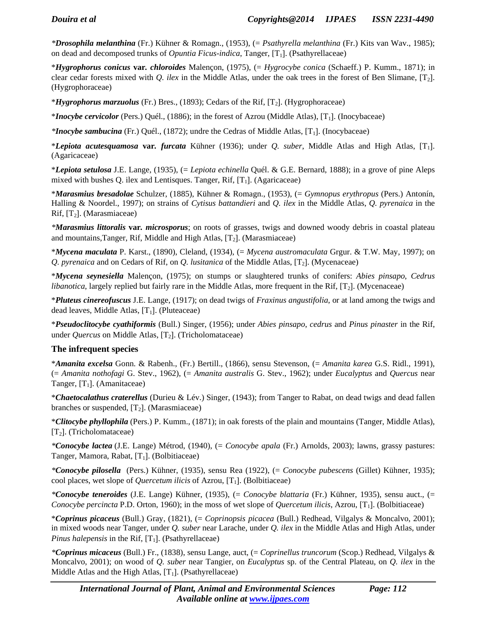*\*Drosophila melanthina* (Fr.) Kühner & Romagn., (1953), (= *Psathyrella melanthina* (Fr.) Kits van Wav., 1985); on dead and decomposed trunks of *Opuntia Ficus-indica*, Tanger, [T1]. (Psathyrellaceae)

\**Hygrophorus conicus* **var***. chloroides* Malençon, (1975), (= *Hygrocybe conica* (Schaeff.) P. Kumm., 1871); in clear cedar forests mixed with *Q. ilex* in the Middle Atlas, under the oak trees in the forest of Ben Slimane, [T2]. (Hygrophoraceae)

\**Hygrophorus marzuolus* (Fr.) Bres., (1893); Cedars of the Rif, [T2]. (Hygrophoraceae)

\**Inocybe cervicolor* (Pers.) Quél., (1886); in the forest of Azrou (Middle Atlas), [T1]. (Inocybaceae)

*\*Inocybe sambucina* (Fr.) Quél., (1872); undre the Cedras of Middle Atlas, [T1]. (Inocybaceae)

\**Lepiota acutesquamosa* **var***. furcata* Kühner (1936); under *Q. suber*, Middle Atlas and High Atlas, [T1]. (Agaricaceae)

\**Lepiota setulosa* J.E. Lange, (1935), (= *Lepiota echinella* Quél. & G.E. Bernard, 1888); in a grove of pine Aleps mixed with bushes Q. ilex and Lentisques. Tanger, Rif,  $[T_1]$ . (Agaricaceae)

\**Marasmius bresadolae* Schulzer, (1885), Kühner & Romagn., (1953), (= *Gymnopus erythropus* (Pers.) Antonín, Halling & Noordel., 1997); on strains of *Cytisus battandieri* and *Q. ilex* in the Middle Atlas, *Q. pyrenaica* in the Rif,  $[T_2]$ . (Marasmiaceae)

*\*Marasmius littoralis* **var***. microsporus*; on roots of grasses, twigs and downed woody debris in coastal plateau and mountains, Tanger, Rif, Middle and High Atlas,  $[T_2]$ . (Marasmiaceae)

\**Mycena maculata* P. Karst., (1890), Cleland, (1934), (= *Mycena austromaculata* Grgur. & T.W. May, 1997); on *Q. pyrenaica* and on Cedars of Rif, on *Q. lusitanica* of the Middle Atlas, [T<sub>2</sub>]. (Mycenaceae)

\**Mycena seynesiella* Malençon, (1975); on stumps or slaughtered trunks of conifers: *Abies pinsapo*, *Cedrus libanotica*, largely replied but fairly rare in the Middle Atlas, more frequent in the Rif, [T<sub>2</sub>]. (Mycenaceae)

\**Pluteus cinereofuscus* J.E. Lange, (1917); on dead twigs of *Fraxinus angustifolia*, or at land among the twigs and dead leaves, Middle Atlas,  $[T_1]$ . (Pluteaceae)

\**Pseudoclitocybe cyathiformis* (Bull.) Singer, (1956); under *Abies pinsapo*, *cedrus* and *Pinus pinaster* in the Rif, under *Quercus* on Middle Atlas, [T<sub>2</sub>]. (Tricholomataceae)

#### **The infrequent species**

\**Amanita excelsa* Gonn. & Rabenh., (Fr.) Bertill., (1866), sensu Stevenson, (= *Amanita karea* G.S. Ridl., 1991), (= *Amanita nothofagi* G. Stev., 1962), (= *Amanita australis* G. Stev., 1962); under *Eucalyptus* and *Quercus* near Tanger,  $[T_1]$ . (Amanitaceae)

\**Chaetocalathus craterellus* (Durieu & Lév.) Singer, (1943); from Tanger to Rabat, on dead twigs and dead fallen branches or suspended,  $[T_2]$ . (Marasmiaceae)

\**Clitocybe phyllophila* (Pers.) P. Kumm., (1871); in oak forests of the plain and mountains (Tanger, Middle Atlas),  $[T_2]$ . (Tricholomataceae)

*\*Conocybe lactea* (J.E. Lange) Métrod, (1940), (= *Conocybe apala* (Fr.) Arnolds, 2003); lawns, grassy pastures: Tanger, Mamora, Rabat,  $[T_1]$ . (Bolbitiaceae)

*\*Conocybe pilosella* (Pers.) Kühner, (1935), sensu Rea (1922), (= *Conocybe pubescens* (Gillet) Kühner, 1935); cool places, wet slope of *Quercetum ilicis* of Azrou, [T1]. (Bolbitiaceae)

*\*Conocybe teneroides* (J.E. Lange) Kühner, (1935), (= *Conocybe blattaria* (Fr.) Kühner, 1935), sensu auct., (= *Conocybe percincta* P.D. Orton, 1960); in the moss of wet slope of *Quercetum ilicis*, Azrou, [T<sub>1</sub>]. (Bolbitiaceae)

\**Coprinus picaceus* (Bull.) Gray, (1821), (= *Coprinopsis picacea* (Bull.) Redhead, Vilgalys & Moncalvo, 2001); in mixed woods near Tanger, under *Q. suber* near Larache, under *Q. ilex* in the Middle Atlas and High Atlas, under *Pinus halepensis* in the Rif,  $[T_1]$ . (Psathyrellaceae)

*\*Coprinus micaceus* (Bull.) Fr., (1838), sensu Lange, auct, (= *Coprinellus truncorum* (Scop.) Redhead, Vilgalys & Moncalvo, 2001); on wood of *Q. suber* near Tangier, on *Eucalyptus* sp. of the Central Plateau, on *Q. ilex* in the Middle Atlas and the High Atlas,  $[T_1]$ . (Psathyrellaceae)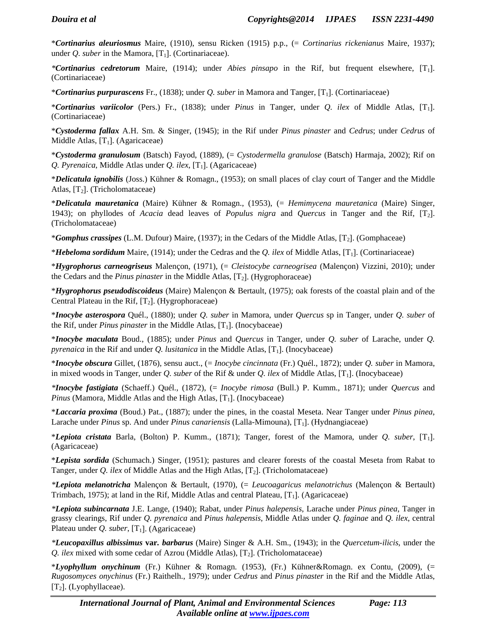\**Cortinarius aleuriosmus* Maire, (1910), sensu Ricken (1915) p.p., (= *Cortinarius rickenianus* Maire, 1937); under *Q. suber* in the Mamora,  $[T_1]$ . (Cortinariaceae).

*\*Cortinarius cedretorum* Maire, (1914); under *Abies pinsapo* in the Rif, but frequent elsewhere, [T1]. (Cortinariaceae)

\**Cortinarius purpurascens* Fr., (1838); under *Q. suber* in Mamora and Tanger, [T1]. (Cortinariaceae)

\**Cortinarius variicolor* (Pers.) Fr., (1838); under *Pinus* in Tanger, under *Q. ilex* of Middle Atlas, [T1]. (Cortinariaceae)

\**Cystoderma fallax* A.H. Sm. & Singer, (1945); in the Rif under *Pinus pinaster* and *Cedrus*; under *Cedrus* of Middle Atlas,  $[T_1]$ . (Agaricaceae)

\**Cystoderma granulosum* (Batsch) Fayod, (1889), (= *Cystodermella granulose* (Batsch) Harmaja, 2002); Rif on *Q. Pyrenaica*, Middle Atlas under *Q. ilex*, [T1]. (Agaricaceae)

\**Delicatula ignobilis* (Joss.) Kühner & Romagn., (1953); on small places of clay court of Tanger and the Middle Atlas,  $[T_2]$ . (Tricholomataceae)

\**Delicatula mauretanica* (Maire) Kühner & Romagn., (1953), (= *Hemimycena mauretanica* (Maire) Singer, 1943); on phyllodes of *Acacia* dead leaves of *Populus nigra* and *Quercus* in Tanger and the Rif, [T2]. (Tricholomataceae)

\**Gomphus crassipes* (L.M. Dufour) Maire, (1937); in the Cedars of the Middle Atlas, [T2]. (Gomphaceae)

\**Hebeloma sordidum* Maire, (1914); under the Cedras and the *Q. ilex* of Middle Atlas, [T1]. (Cortinariaceae)

\**Hygrophorus carneogriseus* Malençon, (1971), (= *Cleistocybe carneogrisea* (Malençon) Vizzini, 2010); under the Cedars and the *Pinus pinaster* in the Middle Atlas, [T2]. (Hygrophoraceae)

\**Hygrophorus pseudodiscoideus* (Maire) Malençon & Bertault, (1975); oak forests of the coastal plain and of the Central Plateau in the Rif,  $[T_2]$ . (Hygrophoraceae)

\**Inocybe asterospora* Quél., (1880); under *Q. suber* in Mamora, under *Quercus* sp in Tanger, under *Q. suber* of the Rif, under *Pinus pinaster* in the Middle Atlas, [T<sub>1</sub>]. (Inocybaceae)

\**Inocybe maculata* Boud., (1885); under *Pinus* and *Quercus* in Tanger, under *Q. suber* of Larache, under *Q. pyrenaica* in the Rif and under *Q. lusitanica* in the Middle Atlas, [T<sub>1</sub>]. (Inocybaceae)

\**Inocybe obscura* Gillet, (1876), sensu auct., (= *Inocybe cincinnata* (Fr.) Quél., 1872); under *Q. suber* in Mamora, in mixed woods in Tanger, under *Q. suber* of the Rif & under *Q. ilex* of Middle Atlas, [T1]. (Inocybaceae)

*\*Inocybe fastigiata* (Schaeff.) Quél., (1872), (= *Inocybe rimosa* (Bull.) P. Kumm., 1871); under *Quercus* and *Pinus* (Mamora, Middle Atlas and the High Atlas,  $[T_1]$ . (Inocybaceae)

\**Laccaria proxima* (Boud.) Pat., (1887); under the pines, in the coastal Meseta. Near Tanger under *Pinus pinea*, Larache under *Pinus* sp. And under *Pinus canariensis* (Lalla-Mimouna), [T1]. (Hydnangiaceae)

\**Lepiota cristata* Barla, (Bolton) P. Kumm., (1871); Tanger, forest of the Mamora, under *Q. suber*, [T1]. (Agaricaceae)

\**Lepista sordida* (Schumach.) Singer, (1951); pastures and clearer forests of the coastal Meseta from Rabat to Tanger, under *Q. ilex* of Middle Atlas and the High Atlas, [T2]. (Tricholomataceae)

*\*Lepiota melanotricha* Malençon & Bertault, (1970), (= *Leucoagaricus melanotrichus* (Malençon & Bertault) Trimbach, 1975); at land in the Rif, Middle Atlas and central Plateau, [T<sub>1</sub>]. (Agaricaceae)

*\*Lepiota subincarnata* J.E. Lange, (1940); Rabat, under *Pinus halepensis*, Larache under *Pinus pinea*, Tanger in grassy clearings, Rif under *Q. pyrenaica* and *Pinus halepensis*, Middle Atlas under *Q. faginae* and *Q. ilex*, central Plateau under *Q. suber*, [T<sub>1</sub>]. (Agaricaceae)

*\*Leucopaxillus albissimus* **var***. barbarus* (Maire) Singer & A.H. Sm., (1943); in the *Quercetum-ilicis*, under the *Q. ilex* mixed with some cedar of Azrou (Middle Atlas), [T<sub>2</sub>]. (Tricholomataceae)

\**Lyophyllum onychinum* (Fr.) Kühner & Romagn. (1953), (Fr.) Kühner&Romagn. ex Contu, (2009), (= *Rugosomyces onychinus* (Fr.) Raithelh., 1979); under *Cedrus* and *Pinus pinaster* in the Rif and the Middle Atlas,  $[T_2]$ . (Lyophyllaceae).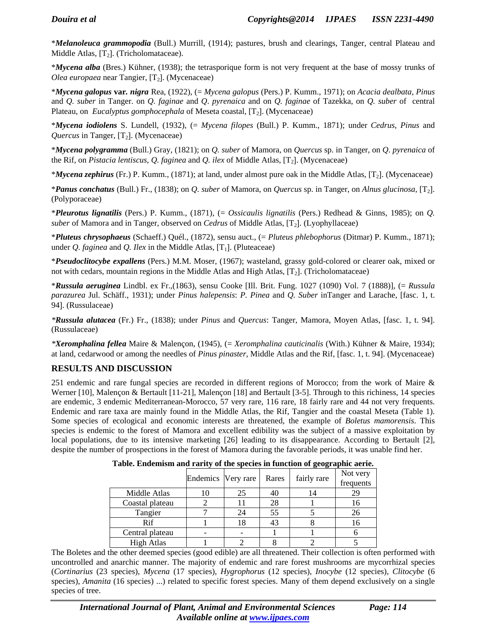\**Melanoleuca grammopodia* (Bull.) Murrill, (1914); pastures, brush and clearings, Tanger, central Plateau and Middle Atlas,  $[T_2]$ . (Tricholomataceae).

\**Mycena alba* (Bres.) Kühner, (1938); the tetrasporique form is not very frequent at the base of mossy trunks of *Olea europaea* near Tangier, [T<sub>2</sub>]. (Mycenaceae)

\**Mycena galopus* **var***. nigra* Rea, (1922), (= *Mycena galopus* (Pers.) P. Kumm., 1971); on *Acacia dealbata*, *Pinus* and *Q. suber* in Tanger. on *Q. faginae* and *Q*. *pyrenaica* and on *Q. faginae* of Tazekka, on *Q. suber* of central Plateau, on *Eucalyptus gomphocephala* of Meseta coastal, [T<sub>2</sub>]. (Mycenaceae)

\**Mycena iodiolens* S. Lundell, (1932), (= *Mycena filopes* (Bull.) P. Kumm., 1871); under *Cedrus*, *Pinus* and *Quercus* in Tanger, [T<sub>2</sub>]. (Mycenaceae)

\**Mycena polygramma* (Bull.) Gray, (1821); on *Q. suber* of Mamora, on *Quercus* sp. in Tanger, on *Q*. *pyrenaica* of the Rif, on *Pistacia lentiscus*, *Q. faginea* and *Q. ilex* of Middle Atlas, [T2]. (Mycenaceae)

\**Mycena zephirus* (Fr.) P. Kumm., (1871); at land, under almost pure oak in the Middle Atlas, [T2]. (Mycenaceae)

\**Panus conchatus* (Bull.) Fr., (1838); on *Q. suber* of Mamora, on *Quercus* sp. in Tanger, on *Alnus glucinosa*, [T2]. (Polyporaceae)

\**Pleurotus lignatilis* (Pers.) P. Kumm., (1871), (= *Ossicaulis lignatilis* (Pers.) Redhead & Ginns, 1985); on *Q. suber* of Mamora and in Tanger, observed on *Cedrus* of Middle Atlas, [T<sub>2</sub>]. (Lyophyllaceae)

\**Pluteus chrysophaeus* (Schaeff.) Quél., (1872), sensu auct., (= *Pluteus phlebophorus* (Ditmar) P. Kumm., 1871); under  $Q$ . faginea and  $Q$ . *Ilex* in the Middle Atlas, [T<sub>1</sub>]. (Pluteaceae)

\**Pseudoclitocybe expallens* (Pers.) M.M. Moser, (1967); wasteland, grassy gold-colored or clearer oak, mixed or not with cedars, mountain regions in the Middle Atlas and High Atlas,  $[T_2]$ . (Tricholomataceae)

\**Russula aeruginea* Lindbl. ex Fr.,(1863), sensu Cooke [Ill. Brit. Fung. 1027 (1090) Vol. 7 (1888)], (= *Russula parazurea* Jul. Schäff., 1931); under *Pinus halepensis*: *P. Pinea* and *Q. Suber* inTanger and Larache, [fasc. 1, t. 94]. (Russulaceae)

*\*Russula alutacea* (Fr.) Fr., (1838); under *Pinus* and *Quercus*: Tanger, Mamora, Moyen Atlas, [fasc. 1, t. 94]. (Russulaceae)

*\*Xeromphalina fellea* Maire & Malençon, (1945), (= *Xeromphalina cauticinalis* (With.) Kühner & Maire, 1934); at land, cedarwood or among the needles of *Pinus pinaster*, Middle Atlas and the Rif, [fasc. 1, t. 94]. (Mycenaceae)

### **RESULTS AND DISCUSSION**

251 endemic and rare fungal species are recorded in different regions of Morocco; from the work of Maire & Werner [10], Malençon & Bertault [11-21], Malençon [18] and Bertault [3-5]. Through to this richiness, 14 species are endemic, 3 endemic Mediterranean-Morocco, 57 very rare, 116 rare, 18 fairly rare and 44 not very frequents. Endemic and rare taxa are mainly found in the Middle Atlas, the Rif, Tangier and the coastal Meseta (Table 1). Some species of ecological and economic interests are threatened, the example of *Boletus mamorensis*. This species is endemic to the forest of Mamora and excellent edibility was the subject of a massive exploitation by local populations, due to its intensive marketing [26] leading to its disappearance. According to Bertault [2], despite the number of prospections in the forest of Mamora during the favorable periods, it was unable find her.

|                   | Endemics Very rare |    | Rares | fairly rare | Not very<br>frequents |
|-------------------|--------------------|----|-------|-------------|-----------------------|
| Middle Atlas      |                    | 25 | 40    |             | 29                    |
| Coastal plateau   |                    |    | 28    |             |                       |
| Tangier           |                    | 24 | 55    |             | 26                    |
| Rif               |                    | 18 | 43    |             |                       |
| Central plateau   |                    |    |       |             |                       |
| <b>High Atlas</b> |                    |    |       |             |                       |

**Table. Endemism and rarity of the species in function of geographic aerie.** 

The Boletes and the other deemed species (good edible) are all threatened. Their collection is often performed with uncontrolled and anarchic manner. The majority of endemic and rare forest mushrooms are mycorrhizal species (*Cortinarius* (23 species), *Mycena* (17 species), *Hygrophorus* (12 species), *Inocybe* (12 species), *Clitocybe* (6 species), *Amanita* (16 species) ...) related to specific forest species. Many of them depend exclusively on a single species of tree.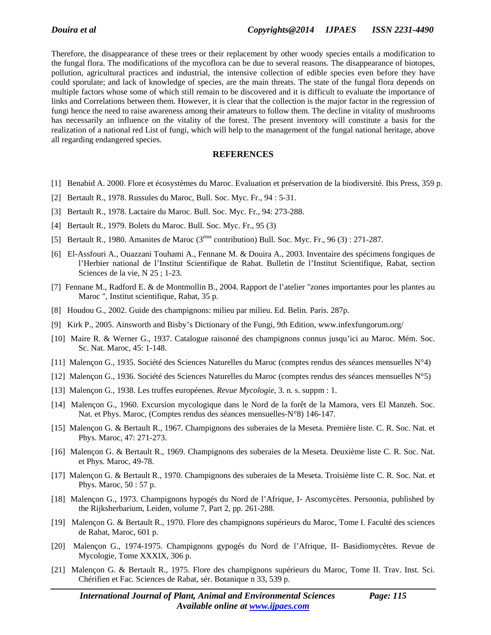Therefore, the disappearance of these trees or their replacement by other woody species entails a modification to the fungal flora. The modifications of the mycoflora can be due to several reasons. The disappearance of biotopes, pollution, agricultural practices and industrial, the intensive collection of edible species even before they have could sporulate; and lack of knowledge of species, are the main threats. The state of the fungal flora depends on multiple factors whose some of which still remain to be discovered and it is difficult to evaluate the importance of links and Correlations between them. However, it is clear that the collection is the major factor in the regression of fungi hence the need to raise awareness among their amateurs to follow them. The decline in vitality of mushrooms has necessarily an influence on the vitality of the forest. The present inventory will constitute a basis for the realization of a national red List of fungi, which will help to the management of the fungal national heritage, above all regarding endangered species.

#### **REFERENCES**

- [1] Benabid A. 2000. Flore et écosystèmes du Maroc. Evaluation et préservation de la biodiversité. Ibis Press, 359 p.
- [2] Bertault R., 1978. Russules du Maroc, Bull. Soc. Myc. Fr., 94 : 5-31.
- [3] Bertault R., 1978. Lactaire du Maroc. Bull. Soc. Myc. Fr., 94: 273-288.
- [4] Bertault R., 1979. Bolets du Maroc. Bull. Soc. Myc. Fr., 95 (3)
- [5] Bertault R., 1980. Amanites de Maroc (3ème contribution) Bull. Soc. Myc. Fr., 96 (3) : 271-287.
- [6] El-Assfouri A., Ouazzani Touhami A., Fennane M. & Douira A., 2003. Inventaire des spécimens fongiques de l'Herbier national de l'Institut Scientifique de Rabat. Bulletin de l'Institut Scientifique, Rabat, section Sciences de la vie, N 25 ; 1-23.
- [7] Fennane M., Radford E. & de Montmollin B., 2004. Rapport de l'atelier "zones importantes pour les plantes au Maroc ", Institut scientifique, Rabat, 35 p.
- [8] Houdou G., 2002. Guide des champignons: milieu par milieu. Ed. Belin. Paris. 287p.
- [9] Kirk P., 2005. Ainsworth and Bisby's Dictionary of the Fungi, 9th Edition, www.infexfungorum.org/
- [10] Maire R. & Werner G., 1937. Catalogue raisonné des champignons connus jusqu'ici au Maroc. Mém. Soc. Sc. Nat. Maroc, 45: 1-148.
- [11] Malençon G., 1935. Société des Sciences Naturelles du Maroc (comptes rendus des séances mensuelles N°4)
- [12] Malençon G., 1936. Société des Sciences Naturelles du Maroc (comptes rendus des séances mensuelles N°5)
- [13] Malençon G., 1938. Les truffes européenes. *Revue Mycologie*, 3. n. s. suppm : 1.
- [14] Malençon G., 1960. Excursion mycologique dans le Nord de la forêt de la Mamora, vers El Manzeh. Soc. Nat. et Phys. Maroc, (Comptes rendus des séances mensuelles-N°8) 146-147.
- [15] Malençon G. & Bertault R., 1967. Champignons des suberaies de la Meseta. Première liste. C. R. Soc. Nat. et Phys. Maroc, 47: 271-273.
- [16] Malençon G. & Bertault R., 1969. Champignons des suberaies de la Meseta. Deuxième liste C. R. Soc. Nat. et Phys. Maroc, 49-78.
- [17] Malençon G. & Bertault R., 1970. Champignons des suberaies de la Meseta. Troisième liste C. R. Soc. Nat. et Phys. Maroc, 50 : 57 p.
- [18] Malençon G., 1973. Champignons hypogés du Nord de l'Afrique, I- Ascomycètes. Persoonia, published by the Rijksherbarium, Leiden, volume 7, Part 2, pp. 261-288.
- [19] Malençon G. & Bertault R., 1970. Flore des champignons supérieurs du Maroc, Tome I. Faculté des sciences de Rabat, Maroc, 601 p.
- [20] Malençon G., 1974-1975. Champignons gypogés du Nord de l'Afrique, II- Basidiomycètes. Revue de Mycologie, Tome XXXIX, 306 p.
- [21] Malençon G. & Bertault R., 1975. Flore des champignons supérieurs du Maroc, Tome II. Trav. Inst. Sci. Chérifien et Fac. Sciences de Rabat, sér. Botanique n 33, 539 p.